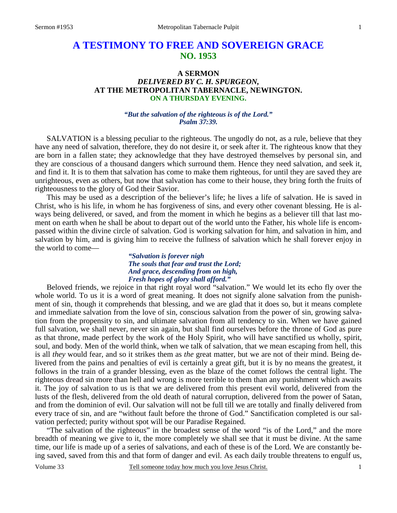# **A TESTIMONY TO FREE AND SOVEREIGN GRACE NO. 1953**

## **A SERMON**  *DELIVERED BY C. H. SPURGEON,*  **AT THE METROPOLITAN TABERNACLE, NEWINGTON. ON A THURSDAY EVENING.**

## *"But the salvation of the righteous is of the Lord." Psalm 37:39.*

SALVATION is a blessing peculiar to the righteous. The ungodly do not, as a rule, believe that they have any need of salvation, therefore, they do not desire it, or seek after it. The righteous know that they are born in a fallen state; they acknowledge that they have destroyed themselves by personal sin, and they are conscious of a thousand dangers which surround them. Hence they need salvation, and seek it, and find it. It is to them that salvation has come to make them righteous, for until they are saved they are unrighteous, even as others, but now that salvation has come to their house, they bring forth the fruits of righteousness to the glory of God their Savior.

This may be used as a description of the believer's life; he lives a life of salvation. He is saved in Christ, who is his life, in whom he has forgiveness of sins, and every other covenant blessing. He is always being delivered, or saved, and from the moment in which he begins as a believer till that last moment on earth when he shall be about to depart out of the world unto the Father, his whole life is encompassed within the divine circle of salvation. God is working salvation for him, and salvation in him, and salvation by him, and is giving him to receive the fullness of salvation which he shall forever enjoy in the world to come—

### *"Salvation is forever nigh The souls that fear and trust the Lord; And grace, descending from on high, Fresh hopes of glory shall afford."*

Beloved friends, we rejoice in that right royal word "salvation." We would let its echo fly over the whole world. To us it is a word of great meaning. It does not signify alone salvation from the punishment of sin, though it comprehends that blessing, and we are glad that it does so, but it means complete and immediate salvation from the love of sin, conscious salvation from the power of sin, growing salvation from the propensity to sin, and ultimate salvation from all tendency to sin. When we have gained full salvation, we shall never, never sin again, but shall find ourselves before the throne of God as pure as that throne, made perfect by the work of the Holy Spirit, who will have sanctified us wholly, spirit, soul, and body. Men of the world think, when we talk of salvation, that we mean escaping from hell, this is all *they* would fear, and so it strikes them as *the* great matter, but we are not of their mind. Being delivered from the pains and penalties of evil is certainly a great gift, but it is by no means the greatest, it follows in the train of a grander blessing, even as the blaze of the comet follows the central light. The righteous dread sin more than hell and wrong is more terrible to them than any punishment which awaits it. The joy of salvation to us is that we are delivered from this present evil world, delivered from the lusts of the flesh, delivered from the old death of natural corruption, delivered from the power of Satan, and from the dominion of evil. Our salvation will not be full till we are totally and finally delivered from every trace of sin, and are "without fault before the throne of God." Sanctification completed is our salvation perfected; purity without spot will be our Paradise Regained.

"The salvation of the righteous" in the broadest sense of the word "is of the Lord," and the more breadth of meaning we give to it, the more completely we shall see that it must be divine. At the same time, our life is made up of a series of salvations, and each of these is of the Lord. We are constantly being saved, saved from this and that form of danger and evil. As each daily trouble threatens to engulf us,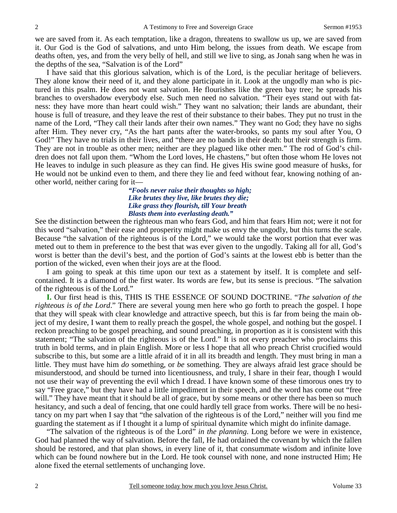we are saved from it. As each temptation, like a dragon, threatens to swallow us up, we are saved from it. Our God is the God of salvations, and unto Him belong, the issues from death. We escape from deaths often, yes, and from the very belly of hell, and still we live to sing, as Jonah sang when he was in the depths of the sea, "Salvation is of the Lord"

I have said that this glorious salvation, which is of the Lord, is the peculiar heritage of believers. They alone know their need of it, and they alone participate in it. Look at the ungodly man who is pictured in this psalm. He does not want salvation. He flourishes like the green bay tree; he spreads his branches to overshadow everybody else. Such men need no salvation. "Their eyes stand out with fatness: they have more than heart could wish." They want no salvation; their lands are abundant, their house is full of treasure, and they leave the rest of their substance to their babes. They put no trust in the name of the Lord, "They call their lands after their own names." They want no God; they have no sighs after Him. They never cry, "As the hart pants after the water-brooks, so pants my soul after You, O God!" They have no trials in their lives, and "there are no bands in their death: but their strength is firm. They are not in trouble as other men; neither are they plagued like other men." The rod of God's children does not fall upon them. "Whom the Lord loves, He chastens," but often those whom He loves not He leaves to indulge in such pleasure as they can find. He gives His swine good measure of husks, for He would not be unkind even to them, and there they lie and feed without fear, knowing nothing of another world, neither caring for it—

> *"Fools never raise their thoughts so high; Like brutes they live, like brutes they die; Like grass they flourish, till Your breath Blasts them into everlasting death."*

See the distinction between the righteous man who fears God, and him that fears Him not; were it not for this word "salvation," their ease and prosperity might make us envy the ungodly, but this turns the scale. Because "the salvation of the righteous is of the Lord," we would take the worst portion that ever was meted out to them in preference to the best that was ever given to the ungodly. Taking all for all, God's worst is better than the devil's best, and the portion of God's saints at the lowest ebb is better than the portion of the wicked, even when their joys are at the flood.

I am going to speak at this time upon our text as a statement by itself. It is complete and selfcontained. It is a diamond of the first water. Its words are few, but its sense is precious. "The salvation of the righteous is of the Lord."

**I.** Our first head is this, THIS IS THE ESSENCE OF SOUND DOCTRINE. "*The salvation of the righteous is of the Lord*." There are several young men here who go forth to preach the gospel. I hope that they will speak with clear knowledge and attractive speech, but this is far from being the main object of my desire, I want them to really preach the gospel, the whole gospel, and nothing but the gospel. I reckon preaching to be gospel preaching, and sound preaching, in proportion as it is consistent with this statement; "The salvation of the righteous is of the Lord." It is not every preacher who proclaims this truth in bold terms, and in plain English. More or less I hope that all who preach Christ crucified would subscribe to this, but some are a little afraid of it in all its breadth and length. They must bring in man a little. They must have him *do* something, or *be* something. They are always afraid lest grace should be misunderstood, and should be turned into licentiousness, and truly, I share in their fear, though I would not use their way of preventing the evil which I dread. I have known some of these timorous ones try to say "Free grace," but they have had a little impediment in their speech, and the word has come out "free will." They have meant that it should be all of grace, but by some means or other there has been so much hesitancy, and such a deal of fencing, that one could hardly tell grace from works. There will be no hesitancy on my part when I say that "the salvation of the righteous is of the Lord," neither will you find me guarding the statement as if I thought it a lump of spiritual dynamite which might do infinite damage.

"The salvation of the righteous is of the Lord" *in the planning*. Long before we were in existence, God had planned the way of salvation. Before the fall, He had ordained the covenant by which the fallen should be restored, and that plan shows, in every line of it, that consummate wisdom and infinite love which can be found nowhere but in the Lord. He took counsel with none, and none instructed Him; He alone fixed the eternal settlements of unchanging love.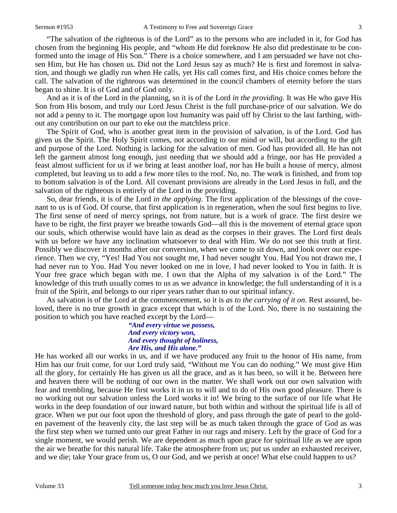"The salvation of the righteous is of the Lord" as to the persons who are included in it, for God has chosen from the beginning His people, and "whom He did foreknow He also did predestinate to be conformed unto the image of His Son." There is a choice somewhere, and I am persuaded we have not chosen Him, but He has chosen us. Did not the Lord Jesus say as much? He is first and foremost in salvation, and though we gladly run when He calls, yet His call comes first, and His choice comes before the call. The salvation of the righteous was determined in the council chambers of eternity before the stars began to shine. It is of God and of God only.

And as it is of the Lord in the planning, so it is of the Lord *in the providing*. It was He who gave His Son from His bosom, and truly our Lord Jesus Christ is the full purchase-price of our salvation. We do not add a penny to it. The mortgage upon lost humanity was paid off by Christ to the last farthing, without any contribution on our part to eke out the matchless price.

The Spirit of God, who is another great item in the provision of salvation, is of the Lord. God has given us the Spirit. The Holy Spirit comes, not according to our mind or will, but according to the gift and purpose of the Lord. Nothing is lacking for the salvation of men. God has provided all. He has not left the garment almost long enough, just needing that we should add a fringe, nor has He provided a feast almost sufficient for us if we bring at least another loaf, nor has He built a house of mercy, almost completed, but leaving us to add a few more tiles to the roof. No, no. The work is finished, and from top to bottom salvation is of the Lord. All covenant provisions are already in the Lord Jesus in full, and the salvation of the righteous is entirely of the Lord in the providing.

So, dear friends, it is of the Lord *in the applying*. The first application of the blessings of the covenant to us is of God. Of course, that first application is in regeneration, when the soul first begins to live. The first sense of need of mercy springs, not from nature, but is a work of grace. The first desire we have to be right, the first prayer we breathe towards God—all this is the movement of eternal grace upon our souls, which otherwise would have lain as dead as the corpses in their graves. The Lord first deals with us before we have any inclination whatsoever to deal with Him. We do not see this truth at first. Possibly we discover it months after our conversion, when we come to sit down, and look over our experience. Then we cry, "Yes! Had You not sought me, I had never sought You. Had You not drawn me, I had never run to You. Had You never looked on me in love, I had never looked to You in faith. It is Your free grace which began with me. I own that the Alpha of my salvation is of the Lord." The knowledge of this truth usually comes to us as we advance in knowledge; the full understanding of it is a fruit of the Spirit, and belongs to our riper years rather than to our spiritual infancy.

As salvation is of the Lord at the commencement, so it is *as to the carrying of it on*. Rest assured, beloved, there is no true growth in grace except that which is of the Lord. No, there is no sustaining the position to which you have reached except by the Lord—

> *"And every virtue we possess, And every victory won, And every thought of holiness, Are His, and His alone."*

He has worked all our works in us, and if we have produced any fruit to the honor of His name, from Him has our fruit come, for our Lord truly said, "Without me You can do nothing." We must give Him all the glory, for certainly He has given us all the grace, and as it has been, so will it be. Between here and heaven there will be nothing of our own in the matter. We shall work out our own salvation with fear and trembling, because He first works it in us to will and to do of His own good pleasure. There is no working out our salvation unless the Lord works it in! We bring to the surface of our life what He works in the deep foundation of our inward nature, but both within and without the spiritual life is all of grace. When we put our foot upon the threshold of glory, and pass through the gate of pearl to the golden pavement of the heavenly city, the last step will be as much taken through the grace of God as was the first step when we turned unto our great Father in our rags and misery. Left by the grace of God for a single moment, we would perish. We are dependent as much upon grace for spiritual life as we are upon the air we breathe for this natural life. Take the atmosphere from us; put us under an exhausted receiver, and we die; take Your grace from us, O our God, and we perish at once! What else could happen to us?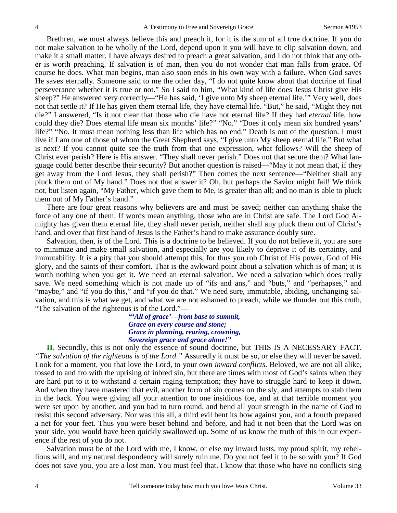Brethren, we must always believe this and preach it, for it is the sum of all true doctrine. If you do not make salvation to be wholly of the Lord, depend upon it you will have to clip salvation down, and make it a small matter. I have always desired to preach a great salvation, and I do not think that any other is worth preaching. If salvation is of man, then you do not wonder that man falls from grace. Of course he does. What man begins, man also soon ends in his own way with a failure. When God saves He saves eternally. Someone said to me the other day, "I do not quite know about that doctrine of final perseverance whether it is true or not." So I said to him, "What kind of life does Jesus Christ give His sheep?" He answered very correctly—"He has said, 'I give unto My sheep eternal life.'" Very well, does not that settle it? If He has given them eternal life, they have eternal life. "But," he said, "Might they not die?" I answered, "Is it not clear that those who die have not eternal life? If they had *eternal* life, how could they die? Does eternal life mean six months' life?" "No." "Does it only mean six hundred years' life?" "No. It must mean nothing less than life which has no end." Death is out of the question. I must live if I am one of those of whom the Great Shepherd says, "I give unto My sheep eternal life." But what is next? If you cannot quite see the truth from that one expression, what follows? Will the sheep of Christ ever perish? Here is His answer. "They shall never perish." Does not that secure them? What language could better describe their security? But another question is raised—"May it not mean that, if they get away from the Lord Jesus, they shall perish?" Then comes the next sentence—"Neither shall any pluck them out of My hand." Does not that answer it? Oh, but perhaps the Savior might fail! We think not, but listen again, "My Father, which gave them to Me, is greater than all; and no man is able to pluck them out of My Father's hand."

There are four great reasons why believers are and must be saved; neither can anything shake the force of any one of them. If words mean anything, those who are in Christ are safe. The Lord God Almighty has given them eternal life, they shall never perish, neither shall any pluck them out of Christ's hand, and over that first hand of Jesus is the Father's hand to make assurance doubly sure.

Salvation, then, is of the Lord. This is a doctrine to be believed. If you do not believe it, you are sure to minimize and make small salvation, and especially are you likely to deprive it of its certainty, and immutability. It is a pity that you should attempt this, for thus you rob Christ of His power, God of His glory, and the saints of their comfort. That is the awkward point about a salvation which is of man; it is worth nothing when you get it. We need an eternal salvation. We need a salvation which does really save. We need something which is not made up of "ifs and ans," and "buts," and "perhapses," and "maybe," and "if you do this," and "if you do that." We need sure, immutable, abiding, unchanging salvation, and this is what we get, and what we are not ashamed to preach, while we thunder out this truth, "The salvation of the righteous is of the Lord."—

> *"'All of grace'—from base to summit, Grace on every course and stone; Grace in planning, rearing, crowning, Sovereign grace and grace alone!"*

**II.** Secondly, this is not only the essence of sound doctrine, but THIS IS A NECESSARY FACT. *"The salvation of the righteous is of the Lord."* Assuredly it must be so, or else they will never be saved. Look for a moment, you that love the Lord, to your own *inward conflicts*. Beloved, we are not all alike, tossed to and fro with the uprising of inbred sin, but there are times with most of God's saints when they are hard put to it to withstand a certain raging temptation; they have to struggle hard to keep it down. And when they have mastered that evil, another form of sin comes on the sly, and attempts to stab them in the back. You were giving all your attention to one insidious foe, and at that terrible moment you were set upon by another, and you had to turn round, and bend all your strength in the name of God to resist this second adversary. Nor was this all, a third evil bent its bow against you, and a fourth prepared a net for your feet. Thus you were beset behind and before, and had it not been that the Lord was on your side, you would have been quickly swallowed up. Some of us know the truth of this in our experience if the rest of you do not.

Salvation must be of the Lord with me, I know, or else my inward lusts, my proud spirit, my rebellious will, and my natural despondency will surely ruin me. Do you not feel it to be so with you? If God does not save you, you are a lost man. You must feel that. I know that those who have no conflicts sing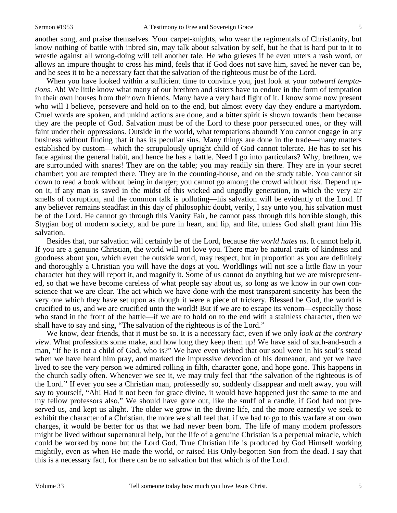another song, and praise themselves. Your carpet-knights, who wear the regimentals of Christianity, but know nothing of battle with inbred sin, may talk about salvation by self, but he that is hard put to it to wrestle against all wrong-doing will tell another tale. He who grieves if he even utters a rash word, or allows an impure thought to cross his mind, feels that if God does not save him, saved he never can be, and he sees it to be a necessary fact that the salvation of the righteous must be of the Lord.

When you have looked within a sufficient time to convince you, just look at your *outward temptations*. Ah! We little know what many of our brethren and sisters have to endure in the form of temptation in their own houses from their own friends. Many have a very hard fight of it. I know some now present who will I believe, persevere and hold on to the end, but almost every day they endure a martyrdom. Cruel words are spoken, and unkind actions are done, and a bitter spirit is shown towards them because they are the people of God. Salvation must be of the Lord to these poor persecuted ones, or they will faint under their oppressions. Outside in the world, what temptations abound! You cannot engage in any business without finding that it has its peculiar sins. Many things are done in the trade—many matters established by custom—which the scrupulously upright child of God cannot tolerate. He has to set his face against the general habit, and hence he has a battle. Need I go into particulars? Why, brethren, we are surrounded with snares! They are on the table; you may readily sin there. They are in your secret chamber; you are tempted there. They are in the counting-house, and on the study table. You cannot sit down to read a book without being in danger; you cannot go among the crowd without risk. Depend upon it, if any man is saved in the midst of this wicked and ungodly generation, in which the very air smells of corruption, and the common talk is polluting—his salvation will be evidently of the Lord. If any believer remains steadfast in this day of philosophic doubt, verily, I say unto you, his salvation must be of the Lord. He cannot go through this Vanity Fair, he cannot pass through this horrible slough, this Stygian bog of modern society, and be pure in heart, and lip, and life, unless God shall grant him His salvation.

Besides that, our salvation will certainly be of the Lord, because *the world hates us*. It cannot help it. If you are a genuine Christian, the world will not love you. There may be natural traits of kindness and goodness about you, which even the outside world, may respect, but in proportion as you are definitely and thoroughly a Christian you will have the dogs at you. Worldlings will not see a little flaw in your character but they will report it, and magnify it. Some of us cannot do anything but we are misrepresented, so that we have become careless of what people say about us, so long as we know in our own conscience that we are clear. The act which we have done with the most transparent sincerity has been the very one which they have set upon as though it were a piece of trickery. Blessed be God, the world is crucified to us, and we are crucified unto the world! But if we are to escape its venom—especially those who stand in the front of the battle—if we are to hold on to the end with a stainless character, then we shall have to say and sing, "The salvation of the righteous is of the Lord."

We know, dear friends, that it must be so. It is a necessary fact, even if we only *look at the contrary view*. What professions some make, and how long they keep them up! We have said of such-and-such a man, "If he is not a child of God, who is?" We have even wished that our soul were in his soul's stead when we have heard him pray, and marked the impressive devotion of his demeanor, and yet we have lived to see the very person we admired rolling in filth, character gone, and hope gone. This happens in the church sadly often. Whenever we see it, we may truly feel that "the salvation of the righteous is of the Lord." If ever you see a Christian man, professedly so, suddenly disappear and melt away, you will say to yourself, "Ah! Had it not been for grace divine, it would have happened just the same to me and my fellow professors also." We should have gone out, like the snuff of a candle, if God had not preserved us, and kept us alight. The older we grow in the divine life, and the more earnestly we seek to exhibit the character of a Christian, the more we shall feel that, if we had to go to this warfare at our own charges, it would be better for us that we had never been born. The life of many modern professors might be lived without supernatural help, but the life of a genuine Christian is a perpetual miracle, which could be worked by none but the Lord God. True Christian life is produced by God Himself working mightily, even as when He made the world, or raised His Only-begotten Son from the dead. I say that this is a necessary fact, for there can be no salvation but that which is of the Lord.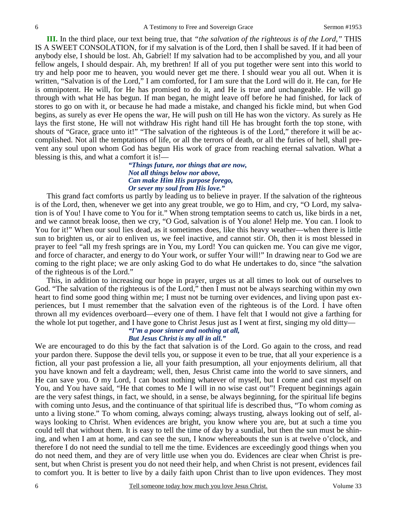**III.** In the third place, our text being true, that *"the salvation of the righteous is of the Lord,"* THIS IS A SWEET CONSOLATION, for if my salvation is of the Lord, then I shall be saved. If it had been of anybody else, I should be lost. Ah, Gabriel! If my salvation had to be accomplished by you, and all your fellow angels, I should despair. Ah, my brethren! If all of you put together were sent into this world to try and help poor me to heaven, you would never get me there. I should wear you all out. When it is written, "Salvation is of the Lord," I am comforted, for I am sure that the Lord will do it. He can, for He is omnipotent. He will, for He has promised to do it, and He is true and unchangeable. He will go through with what He has begun. If man began, he might leave off before he had finished, for lack of stores to go on with it, or because he had made a mistake, and changed his fickle mind, but when God begins, as surely as ever He opens the war, He will push on till He has won the victory. As surely as He lays the first stone, He will not withdraw His right hand till He has brought forth the top stone, with shouts of "Grace, grace unto it!" "The salvation of the righteous is of the Lord," therefore it will be accomplished. Not all the temptations of life, or all the terrors of death, or all the furies of hell, shall prevent any soul upon whom God has begun His work of grace from reaching eternal salvation. What a blessing is this, and what a comfort it is!—

#### *"Things future, nor things that are now, Not all things below nor above, Can make Him His purpose forego, Or sever my soul from His love."*

This grand fact comforts us partly by leading us to believe in prayer. If the salvation of the righteous is of the Lord, then, whenever we get into any great trouble, we go to Him, and cry, "O Lord, my salvation is of You! I have come to You for it." When strong temptation seems to catch us, like birds in a net, and we cannot break loose, then we cry, "O God, salvation is of You alone! Help me. You can. I look to You for it!" When our soul lies dead, as it sometimes does, like this heavy weather—when there is little sun to brighten us, or air to enliven us, we feel inactive, and cannot stir. Oh, then it is most blessed in prayer to feel "all my fresh springs are in You, my Lord! You can quicken me. You can give me vigor, and force of character, and energy to do Your work, or suffer Your will!" In drawing near to God we are coming to the right place; we are only asking God to do what He undertakes to do, since "the salvation of the righteous is of the Lord."

This, in addition to increasing our hope in prayer, urges us at all times to look out of ourselves to God. "The salvation of the righteous is of the Lord," then I must not be always searching within my own heart to find some good thing within me; I must not be turning over evidences, and living upon past experiences, but I must remember that the salvation even of the righteous is of the Lord. I have often thrown all my evidences overboard—every one of them. I have felt that I would not give a farthing for the whole lot put together, and I have gone to Christ Jesus just as I went at first, singing my old ditty—

#### *"I'm a poor sinner and nothing at all, But Jesus Christ is my all in all."*

We are encouraged to do this by the fact that salvation is of the Lord. Go again to the cross, and read your pardon there. Suppose the devil tells you, or suppose it even to be true, that all your experience is a fiction, all your past profession a lie, all your faith presumption, all your enjoyments delirium, all that you have known and felt a daydream; well, then, Jesus Christ came into the world to save sinners, and He can save you. O my Lord, I can boast nothing whatever of myself, but I come and cast myself on You, and You have said, "He that comes to Me I will in no wise cast out"! Frequent beginnings again are the very safest things, in fact, we should, in a sense, be always beginning, for the spiritual life begins with coming unto Jesus, and the continuance of that spiritual life is described thus, "To whom *coming* as unto a living stone." To whom coming, always coming; always trusting, always looking out of self, always looking to Christ. When evidences are bright, you know where you are, but at such a time you could tell that without them. It is easy to tell the time of day by a sundial, but then the sun must be shining, and when I am at home, and can see the sun, I know whereabouts the sun is at twelve o'clock, and therefore I do not need the sundial to tell me the time. Evidences are exceedingly good things when you do not need them, and they are of very little use when you do. Evidences are clear when Christ is present, but when Christ is present you do not need their help, and when Christ is not present, evidences fail to comfort you. It is better to live by a daily faith upon Christ than to live upon evidences. They most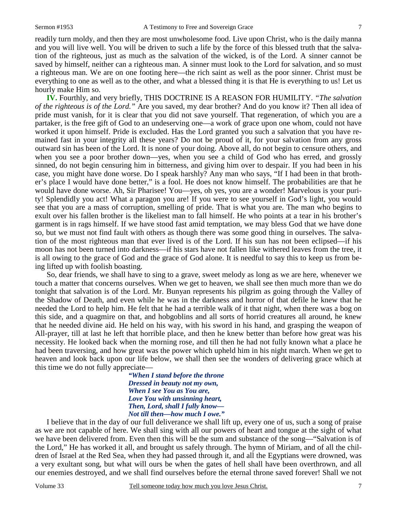readily turn moldy, and then they are most unwholesome food. Live upon Christ, who is the daily manna and you will live well. You will be driven to such a life by the force of this blessed truth that the salvation of the righteous, just as much as the salvation of the wicked, is of the Lord. A sinner cannot be saved by himself, neither can a righteous man. A sinner must look to the Lord for salvation, and so must a righteous man. We are on one footing here—the rich saint as well as the poor sinner. Christ must be everything to one as well as to the other, and what a blessed thing it is that He is everything to us! Let us hourly make Him so.

**IV.** Fourthly, and very briefly, THIS DOCTRINE IS A REASON FOR HUMILITY. *"The salvation of the righteous is of the Lord."* Are you saved, my dear brother? And do you know it? Then all idea of pride must vanish, for it is clear that you did not save yourself. That regeneration, of which you are a partaker, is the free gift of God to an undeserving one—a work of grace upon one whom, could not have worked it upon himself. Pride is excluded. Has the Lord granted you such a salvation that you have remained fast in your integrity all these years? Do not be proud of it, for your salvation from any gross outward sin has been of the Lord. It is none of your doing. Above all, do not begin to censure others, and when you see a poor brother down—yes, when you see a child of God who has erred, and grossly sinned, do not begin censuring him in bitterness, and giving him over to despair. If you had been in his case, you might have done worse. Do I speak harshly? Any man who says, "If I had been in that brother's place I would have done better," is a fool. He does not know himself. The probabilities are that he would have done worse. Ah, Sir Pharisee! You—yes, oh yes, you are a wonder! Marvelous is your purity! Splendidly you act! What a paragon you are! If you were to see yourself in God's light, you would see that you are a mass of corruption, smelling of pride. That is what you are. The man who begins to exult over his fallen brother is the likeliest man to fall himself. He who points at a tear in his brother's garment is in rags himself. If we have stood fast amid temptation, we may bless God that we have done so, but we must not find fault with others as though there was some good thing in ourselves. The salvation of the most righteous man that ever lived is of the Lord. If his sun has not been eclipsed—if his moon has not been turned into darkness—if his stars have not fallen like withered leaves from the tree, it is all owing to the grace of God and the grace of God alone. It is needful to say this to keep us from being lifted up with foolish boasting.

So, dear friends, we shall have to sing to a grave, sweet melody as long as we are here, whenever we touch a matter that concerns ourselves. When we get to heaven, we shall see then much more than we do tonight that salvation is of the Lord. Mr. Bunyan represents his pilgrim as going through the Valley of the Shadow of Death, and even while he was in the darkness and horror of that defile he knew that he needed the Lord to help him. He felt that he had a terrible walk of it that night, when there was a bog on this side, and a quagmire on that, and hobgoblins and all sorts of horrid creatures all around, he knew that he needed divine aid. He held on his way, with his sword in his hand, and grasping the weapon of All-prayer, till at last he left that horrible place, and then he knew better than before how great was his necessity. He looked back when the morning rose, and till then he had not fully known what a place he had been traversing, and how great was the power which upheld him in his night march. When we get to heaven and look back upon our life below, we shall then see the wonders of delivering grace which at this time we do not fully appreciate—

> *"When I stand before the throne Dressed in beauty not my own, When I see You as You are, Love You with unsinning heart, Then, Lord, shall I fully know— Not till then—how much I owe."*

I believe that in the day of our full deliverance we shall lift up, every one of us, such a song of praise as we are not capable of here. We shall sing with all our powers of heart and tongue at the sight of what we have been delivered from. Even then this will be the sum and substance of the song—"Salvation is of the Lord," He has worked it all, and brought us safely through. The hymn of Miriam, and of all the children of Israel at the Red Sea, when they had passed through it, and all the Egyptians were drowned, was a very exultant song, but what will ours be when the gates of hell shall have been overthrown, and all our enemies destroyed, and we shall find ourselves before the eternal throne saved forever! Shall we not